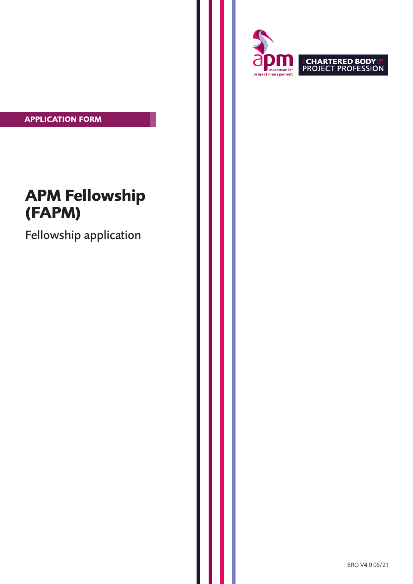**APPLICATION FORM**

# **APM Fellowship (FAPM)**

Fellowship application



BRO V4.0 06/21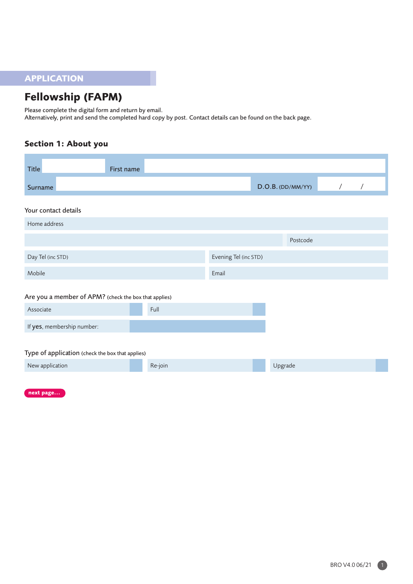# **APPLICATION**

# **Fellowship (FAPM)**

Please complete the digital form and return by email.

Alternatively, print and send the completed hard copy by post. Contact details can be found on the back page.

# **Section 1: About you**

| <b>Title</b>                                          | First name |                       |                   |  |
|-------------------------------------------------------|------------|-----------------------|-------------------|--|
| Surname                                               |            |                       | D.O.B. (DD/MM/YY) |  |
| Your contact details                                  |            |                       |                   |  |
| Home address                                          |            |                       |                   |  |
|                                                       |            |                       | Postcode          |  |
| Day Tel (inc STD)                                     |            | Evening Tel (inc STD) |                   |  |
| Mobile                                                |            | Email                 |                   |  |
| Are you a member of APM? (check the box that applies) |            |                       |                   |  |
| Associate                                             | Full       |                       |                   |  |
| If yes, membership number:                            |            |                       |                   |  |
|                                                       |            |                       |                   |  |
| Type of application (check the box that applies)      |            |                       |                   |  |
| New application                                       | Re-join    |                       | Upgrade           |  |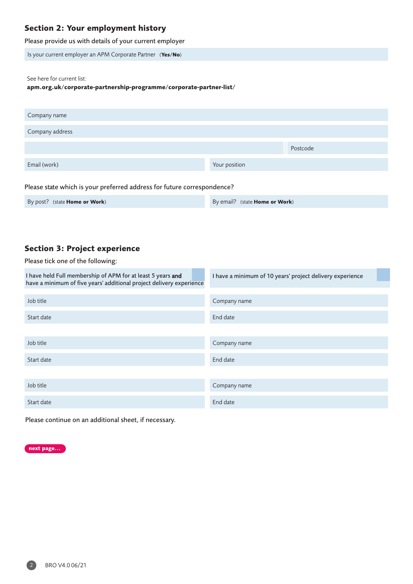## **Section 2: Your employment history**

Please provide us with details of your current employer

Is your current employer an APM Corporate Partner (**Yes/No**)

See here for current list:

**[apm.org.uk/corporate-partnership-programme/corporate-partner-list/](https://www.apm.org.uk/corporate-partnership-programme/corporate-partner-list/)**

| Company name    |               |          |
|-----------------|---------------|----------|
| Company address |               |          |
|                 |               | Postcode |
| Email (work)    | Your position |          |
|                 |               |          |

#### Please state which is your preferred address for future correspondence?

| By post? (state <b>Home or Work</b> ) | By email? (state <b>Home or Work</b> ) |
|---------------------------------------|----------------------------------------|
|---------------------------------------|----------------------------------------|

### **Section 3: Project experience**

Please tick one of the following:

| I have held Full membership of APM for at least 5 years and<br>have a minimum of five years' additional project delivery experience | I have a minimum of 10 years' project delivery experience |  |
|-------------------------------------------------------------------------------------------------------------------------------------|-----------------------------------------------------------|--|
|                                                                                                                                     |                                                           |  |
| Job title                                                                                                                           | Company name                                              |  |
| Start date                                                                                                                          | End date                                                  |  |
|                                                                                                                                     |                                                           |  |
| Job title                                                                                                                           | Company name                                              |  |
| Start date                                                                                                                          | End date                                                  |  |
|                                                                                                                                     |                                                           |  |
| Job title                                                                                                                           | Company name                                              |  |
| Start date                                                                                                                          | End date                                                  |  |

Please continue on an additional sheet, if necessary.

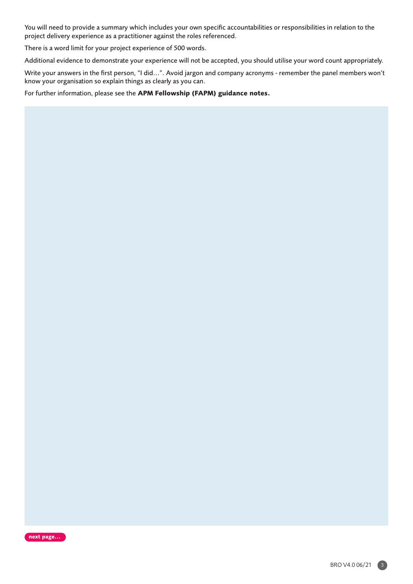You will need to provide a summary which includes your own specific accountabilities or responsibilities in relation to the project delivery experience as a practitioner against the roles referenced.

There is a word limit for your project experience of 500 words.

Additional evidence to demonstrate your experience will not be accepted, you should utilise your word count appropriately.

Write your answers in the first person, "I did...". Avoid jargon and company acronyms - remember the panel members won't know your organisation so explain things as clearly as you can.

For further information, please see the **APM Fellowship (FAPM) guidance notes.**

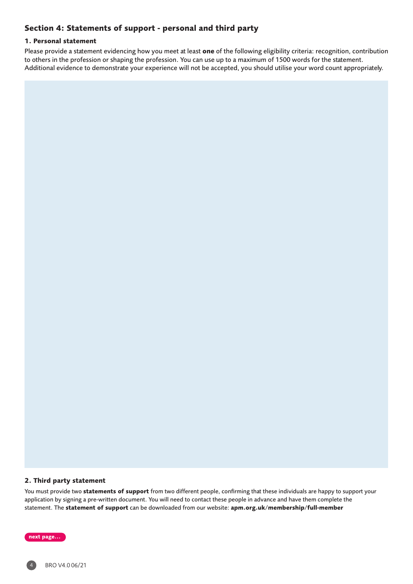# **Section 4: Statements of support - personal and third party**

#### **1. Personal statement**

Please provide a statement evidencing how you meet at least **one** of the following eligibility criteria: recognition, contribution to others in the profession or shaping the profession. You can use up to a maximum of 1500 words for the statement. Additional evidence to demonstrate your experience will not be accepted, you should utilise your word count appropriately.

#### **2. Third party statement**

You must provide two **statements of support** from two different people, confirming that these individuals are happy to support your application by signing a pre-written document. You will need to contact these people in advance and have them complete the statement. The **statement of support** can be downloaded from our website: **[apm.org.uk/membership/full-member](https://www.apm.org.uk/apm-privacy-statement/)**

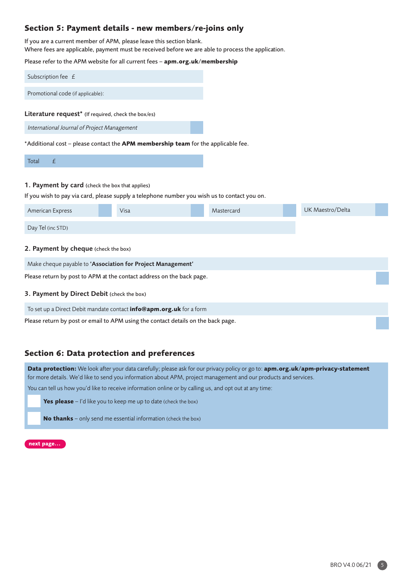### **Section 5: Payment details - new members/re-joins only**

If you are a current member of APM, please leave this section blank. Where fees are applicable, payment must be received before we are able to process the application.

Please refer to the APM website for all current fees – **<apm.org.uk/membership>**

| Subscription fee $E$                                |
|-----------------------------------------------------|
|                                                     |
| Promotional code (if applicable):                   |
|                                                     |
|                                                     |
| Literature request* (If required, check the box/es) |
|                                                     |
| International Journal of Project Management         |

\*Additional cost – please contact the **APM membership team** for the applicable fee.

#### Total £

#### 1. Payment by card (check the box that applies)

If you wish to pay via card, please supply a telephone number you wish us to contact you on.

| American Express                                                                  | Visa | Mastercard |  | UK Maestro/Delta |  |
|-----------------------------------------------------------------------------------|------|------------|--|------------------|--|
| Day Tel (inc STD)                                                                 |      |            |  |                  |  |
| 2. Payment by cheque (check the box)                                              |      |            |  |                  |  |
| Make cheque payable to 'Association for Project Management'                       |      |            |  |                  |  |
| Please return by post to APM at the contact address on the back page.             |      |            |  |                  |  |
| 3. Payment by Direct Debit (check the box)                                        |      |            |  |                  |  |
| To set up a Direct Debit mandate contact <b>info@apm.org.uk</b> for a form        |      |            |  |                  |  |
| Please return by post or email to APM using the contact details on the back page. |      |            |  |                  |  |

### **Section 6: Data protection and preferences**

**Data protection:** We look after your data carefully; please ask for our privacy policy or go to: **[apm.org.uk/apm-privacy-statement](https://www.apm.org.uk/apm-privacy-statement/)** for more details. We'd like to send you information about APM, project management and our products and services.

You can tell us how you'd like to receive information online or by calling us, and opt out at any time:

**Yes please** – I'd like you to keep me up to date (check the box)

**No thanks** – only send me essential information (check the box)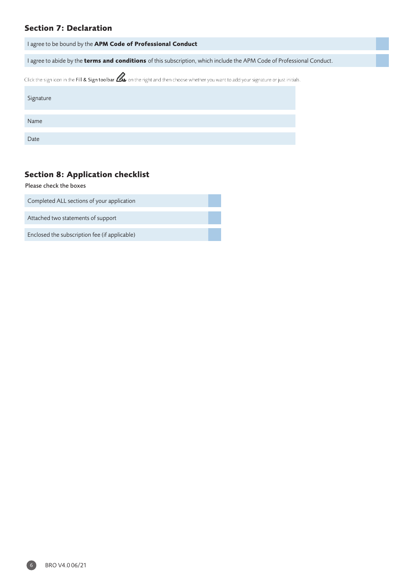# **Section 7: Declaration**

| I agree to be bound by the APM Code of Professional Conduct                                                                                      |
|--------------------------------------------------------------------------------------------------------------------------------------------------|
| I agree to abide by the <b>terms and conditions</b> of this subscription, which include the APM Code of Professional Conduct.                    |
| Click the sign icon in the Fill & Sign toolbar $\mathbb Z$ on the right and then choose whether you want to add your signature or just initials. |
| Signature                                                                                                                                        |
| Name                                                                                                                                             |
| Date                                                                                                                                             |

# **Section 8: Application checklist**

Please check the boxes

Completed ALL sections of your application

Attached two statements of support

Enclosed the subscription fee (if applicable)